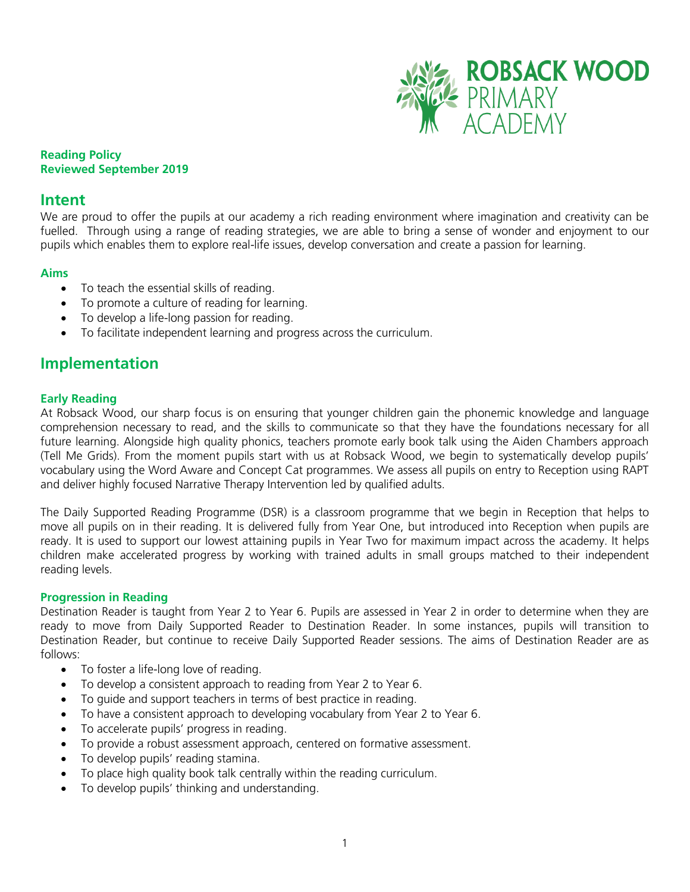

# **Reading Policy Reviewed September 2019**

# **Intent**

We are proud to offer the pupils at our academy a rich reading environment where imagination and creativity can be fuelled. Through using a range of reading strategies, we are able to bring a sense of wonder and enjoyment to our pupils which enables them to explore real-life issues, develop conversation and create a passion for learning.

# **Aims**

- To teach the essential skills of reading.
- To promote a culture of reading for learning.
- To develop a life-long passion for reading.
- To facilitate independent learning and progress across the curriculum.

# **Implementation**

# **Early Reading**

At Robsack Wood, our sharp focus is on ensuring that younger children gain the phonemic knowledge and language comprehension necessary to read, and the skills to communicate so that they have the foundations necessary for all future learning. Alongside high quality phonics, teachers promote early book talk using the Aiden Chambers approach (Tell Me Grids). From the moment pupils start with us at Robsack Wood, we begin to systematically develop pupils' vocabulary using the Word Aware and Concept Cat programmes. We assess all pupils on entry to Reception using RAPT and deliver highly focused Narrative Therapy Intervention led by qualified adults.

The Daily Supported Reading Programme (DSR) is a classroom programme that we begin in Reception that helps to move all pupils on in their reading. It is delivered fully from Year One, but introduced into Reception when pupils are ready. It is used to support our lowest attaining pupils in Year Two for maximum impact across the academy. It helps children make accelerated progress by working with trained adults in small groups matched to their independent reading levels.

# **Progression in Reading**

Destination Reader is taught from Year 2 to Year 6. Pupils are assessed in Year 2 in order to determine when they are ready to move from Daily Supported Reader to Destination Reader. In some instances, pupils will transition to Destination Reader, but continue to receive Daily Supported Reader sessions. The aims of Destination Reader are as follows:

- To foster a life-long love of reading.
- To develop a consistent approach to reading from Year 2 to Year 6.
- To guide and support teachers in terms of best practice in reading.
- To have a consistent approach to developing vocabulary from Year 2 to Year 6.
- To accelerate pupils' progress in reading.
- To provide a robust assessment approach, centered on formative assessment.
- To develop pupils' reading stamina.
- To place high quality book talk centrally within the reading curriculum.
- To develop pupils' thinking and understanding.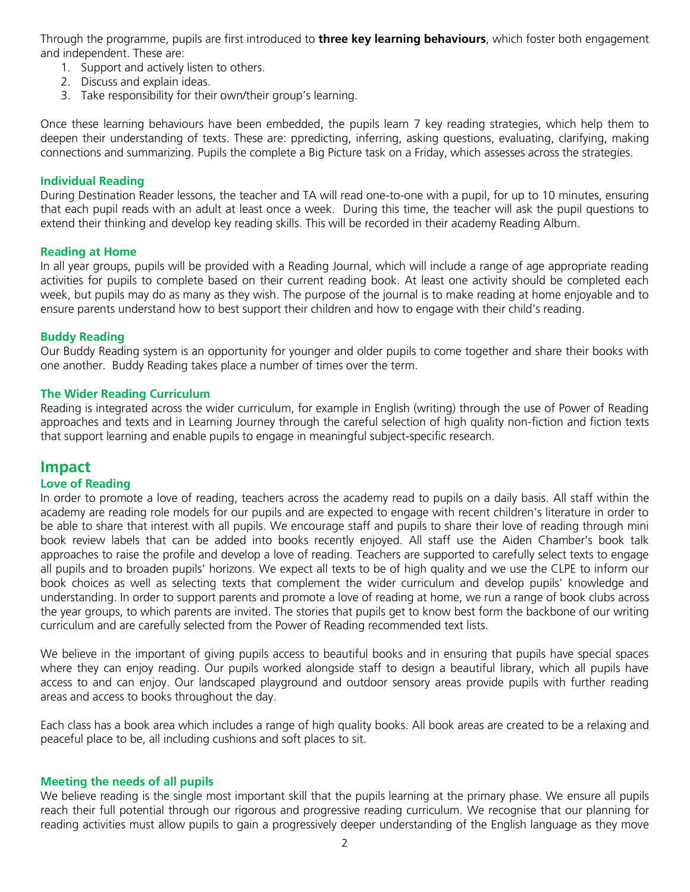Through the programme, pupils are first introduced to **three key learning behaviours**, which foster both engagement and independent. These are:

- 1. Support and actively listen to others.
- 2. Discuss and explain ideas.
- 3. Take responsibility for their own/their group's learning.

Once these learning behaviours have been embedded, the pupils learn 7 key reading strategies, which help them to deepen their understanding of texts. These are: ppredicting, inferring, asking questions, evaluating, clarifying, making connections and summarizing. Pupils the complete a Big Picture task on a Friday, which assesses across the strategies.

# **Individual Reading**

During Destination Reader lessons, the teacher and TA will read one-to-one with a pupil, for up to 10 minutes, ensuring that each pupil reads with an adult at least once a week. During this time, the teacher will ask the pupil questions to extend their thinking and develop key reading skills. This will be recorded in their academy Reading Album.

#### **Reading at Home**

In all year groups, pupils will be provided with a Reading Journal, which will include a range of age appropriate reading activities for pupils to complete based on their current reading book. At least one activity should be completed each week, but pupils may do as many as they wish. The purpose of the journal is to make reading at home enjoyable and to ensure parents understand how to best support their children and how to engage with their child's reading.

#### **Buddy Reading**

Our Buddy Reading system is an opportunity for younger and older pupils to come together and share their books with one another. Buddy Reading takes place a number of times over the term.

# **The Wider Reading Curriculum**

Reading is integrated across the wider curriculum, for example in English (writing) through the use of Power of Reading approaches and texts and in Learning Journey through the careful selection of high quality non-fiction and fiction texts that support learning and enable pupils to engage in meaningful subject-specific research.

# **Impact**

# **Love of Reading**

In order to promote a love of reading, teachers across the academy read to pupils on a daily basis. All staff within the academy are reading role models for our pupils and are expected to engage with recent children's literature in order to be able to share that interest with all pupils. We encourage staff and pupils to share their love of reading through mini book review labels that can be added into books recently enjoyed. All staff use the Aiden Chamber's book talk approaches to raise the profile and develop a love of reading. Teachers are supported to carefully select texts to engage all pupils and to broaden pupils' horizons. We expect all texts to be of high quality and we use the CLPE to inform our book choices as well as selecting texts that complement the wider curriculum and develop pupils' knowledge and understanding. In order to support parents and promote a love of reading at home, we run a range of book clubs across the year groups, to which parents are invited. The stories that pupils get to know best form the backbone of our writing curriculum and are carefully selected from the Power of Reading recommended text lists.

We believe in the important of giving pupils access to beautiful books and in ensuring that pupils have special spaces where they can enjoy reading. Our pupils worked alongside staff to design a beautiful library, which all pupils have access to and can enjoy. Our landscaped playground and outdoor sensory areas provide pupils with further reading areas and access to books throughout the day.

Each class has a book area which includes a range of high quality books. All book areas are created to be a relaxing and peaceful place to be, all including cushions and soft places to sit.

# **Meeting the needs of all pupils**

We believe reading is the single most important skill that the pupils learning at the primary phase. We ensure all pupils reach their full potential through our rigorous and progressive reading curriculum. We recognise that our planning for reading activities must allow pupils to gain a progressively deeper understanding of the English language as they move